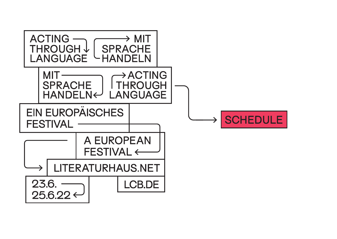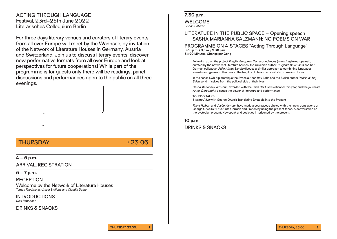# ACTING THROUGH LANGUAGE Festival, 23rd–25th June 2022 Literarisches Colloquium Berlin

For three days literary venues and curators of literary events from all over Europe will meet by the Wannsee, by invitation of the Network of Literature Houses in Germany, Austria and Switzerland. Join us to discuss literary events, discover new performative formats from all over Europe and look at perspectives for future cooperations! While part of the programme is for guests only there will be readings, panel discussions and performances open to the public on all three evenings.

# THURSDAY  $\longrightarrow$  23.06

**4 – 5 p.m.**

ARRIVAL, REGISTRATION

**5 – 7 p.m.**

RECEPTION Welcome by the Network of Literature Houses Tomas Friedmann, Ursula Steffens and Claudia Dathe

INTRODUCTIONS Dick Robertson

DRINKS & SNACKS

# **7.30 p.m.**

WELCOME Florian Höllerer

#### LITERATURE IN THE PUBLIC SPACE – Opening speech SASHA MARIANNA SALZMANN: NO POEMS ON WAR

PROGRAMME ON 4 STAGES "Acting Through Language" **8.30 p.m. / 9 p.m. / 9.30 p.m. 3 × 20 Minutes, Change per Gong**

Following up on the project Fragile. European Correspondences (www.fragile-europe.net), curated by the network of literature houses, the Ukrainian author Yevgenia Belorusets and her German colleague Ulrike Almut Sandig discuss a similar approach to combining languages, formats and genres in their work. The fragility of life and arts will also come into focus.

In the series LCB diplomatique the Swiss author Max Lobe and the Syrian author Yassin al-Hai Saleh send missives from the political side of their lives.

Sasha Marianna Salzmann, awarded with the Preis der Literaturhäuser this year, and the journalist Anne-Dore Krohn discuss the power of literature and performance.

TOLEDO TALKS Staying Alive with George Orwell: Translating Dystopia into the Present

Frank Heibert and Josée Kamoun have made a courageous choice with their new translations of George Orwell's "1984" into German and French by using the present tense. A conversation on the dystopian present, Newspeak and societies imprisoned by the present.

**10 p.m.**

DRINKS & SNACKS

THURSDAY, 23.06.

**1**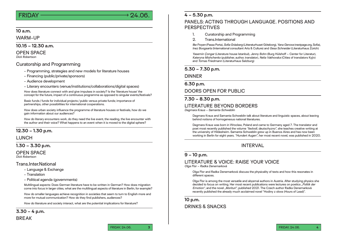# $FRIDAY \longrightarrow 24.06.$

#### **10 a.m.**

WARM-UP

#### **10.15 – 12.30 a.m.**

OPEN SPACE

Dick Robertson

#### Curatorship and Programming

- Programming, strategies and new models for literature houses
- Financing (public/private/sponsors)
- Audience development
- Literary encounters (venue/institutions/collaborations/digital spaces)

How does literature connect with and give impulses in society? Is the 'literature house' the concept for the future, impact of a continuous programme as opposed to singular events/festivals?

Basic funds / funds for individual projects / public versus private funds; importance of partnerships, other possibilities for international cooperations.

How does urban society influence the programme of literature houses or festivals, how do we gain information about our audiences?

How do literary encounters work, do they need the live event, the reading, the live encounter with the author and their voice? What happens to an event when it is moved to the digital sphere?

#### **12.30 – 1.30 p.m.**

#### **LUNCH**

#### **1.30 – 3.30 p.m.**

#### OPEN SPACE

Dick Robertson

#### Trans.Inter.National

- Language & Exchange
- Translation
- Political agenda (governments)

Multilingual aspects: Does German literature have to be written in German? How does migration come into focus in larger cities, what are the multilingual aspects of literature in Berlin, for example?

How do smaller languages achieve recognition in societies that seem to turn to English more and more for mutual communication? How do they find publishers, audiences?

How do literature and society interact, what are the potential implications for literature?

# **3.30 – 4 p.m.**

**BREAK** 

### **4 – 5.30 p.m.**

# PANELS: ACTING THROUGH LANGUAGE. POSITIONS AND PERSPECTIVES

- 1. Curatorship and Programming
- 2. Trans.International

Ilke Froyen (Passa Porta), Sofia Gräsberg (Litteraturhuset Göteborg), Yana Genova (nextpage.org, Sofia), Inez Boogaarts (International consultant Arts & Culture) and Gesa Schneider (Literaturhaus Zürich)

Yasemin Çongar (Literature house Istanbul), Jenny Bohn (Burg Hülshoff – Center for Literatur), Kateryna Mishchenko (publisher, author, translator), Nelia Vakhovska (Cities of translators Kyjiv) and Tomas Friedmann (Literaturhaus Salzburg)

#### **5.30 – 7.30 p.m.**

#### DINNER

#### **6.30 p.m.**

#### DOORS OPEN FOR PUBLIC

#### **7.30 – 8.30 p.m.**

#### LITERATURE BEYOND BORDERS

Dagmara Kraus – Samanta Schweblin

Dagmara Kraus and Samanta Schweblin talk about literature and linguistic spaces, about leaving behind notions of homogeneous national literatures.

Dagmara Kraus was born in Wroclaw, Poland and came to Germany aged 7. The translator and poet most recently published the volume "liedvoll, deutschyzno", she teaches creative writing at the university of Hildesheim. Samanta Schweblin grew up in Buenos Aires and has now been working in Berlin for eight years. "Hundert Augen", her most recent novel, was published in 2020.

# INTERVAL

#### **9 – 10 p.m.**

# LITERATURE & VOICE: RAISE YOUR VOICE

Olga Flor – Radka Denemarková

Olga Flor and Radka Denemarková discuss the physicality of texts and how this resonates in different spaces.

Olga Flor is among the most versatile and abysmal authors in Austria. After studying physics she decided to focus on writing. Her most recent publications were lectures on poetics . Politik der Emotion", and the novel "Morituri", published 2021. The Czech author Radka Denemarková recently published the already much acclaimed novel "Hodiny z olova (Hours of Lead)".

#### **10 p.m.**  DRINKS & SNACKS

FRIDAY, 24.06. **3**